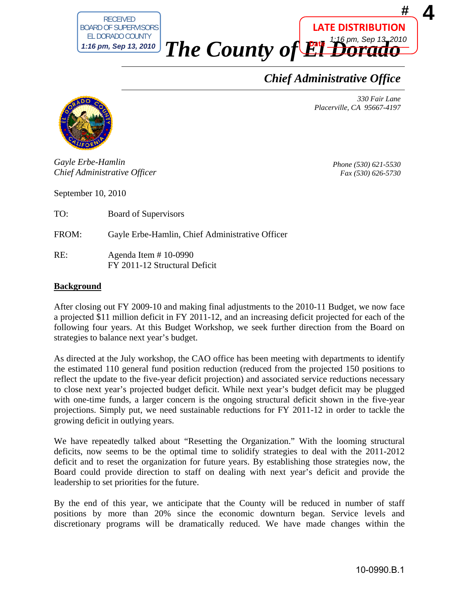

*The County of El Dorado* **Date** 1:16 pm, Sep 13, 2010

*Chief Administrative Office*

*330 Fair Lane Placerville, CA 95667-4197* 

**LATE DISTRIBUTION**



*Gayle Erbe-Hamlin Chief Administrative Officer*

*Phone (530) 621-5530 Fax (530) 626-5730* 

September 10, 2010

TO: Board of Supervisors

FROM: Gayle Erbe-Hamlin, Chief Administrative Officer

RE: Agenda Item # 10-0990 FY 2011-12 Structural Deficit

## **Background**

After closing out FY 2009-10 and making final adjustments to the 2010-11 Budget, we now face a projected \$11 million deficit in FY 2011-12, and an increasing deficit projected for each of the following four years. At this Budget Workshop, we seek further direction from the Board on strategies to balance next year's budget.

As directed at the July workshop, the CAO office has been meeting with departments to identify the estimated 110 general fund position reduction (reduced from the projected 150 positions to reflect the update to the five-year deficit projection) and associated service reductions necessary to close next year's projected budget deficit. While next year's budget deficit may be plugged with one-time funds, a larger concern is the ongoing structural deficit shown in the five-year projections. Simply put, we need sustainable reductions for FY 2011-12 in order to tackle the growing deficit in outlying years.

We have repeatedly talked about "Resetting the Organization." With the looming structural deficits, now seems to be the optimal time to solidify strategies to deal with the 2011-2012 deficit and to reset the organization for future years. By establishing those strategies now, the Board could provide direction to staff on dealing with next year's deficit and provide the leadership to set priorities for the future.

By the end of this year, we anticipate that the County will be reduced in number of staff positions by more than 20% since the economic downturn began. Service levels and discretionary programs will be dramatically reduced. We have made changes within the